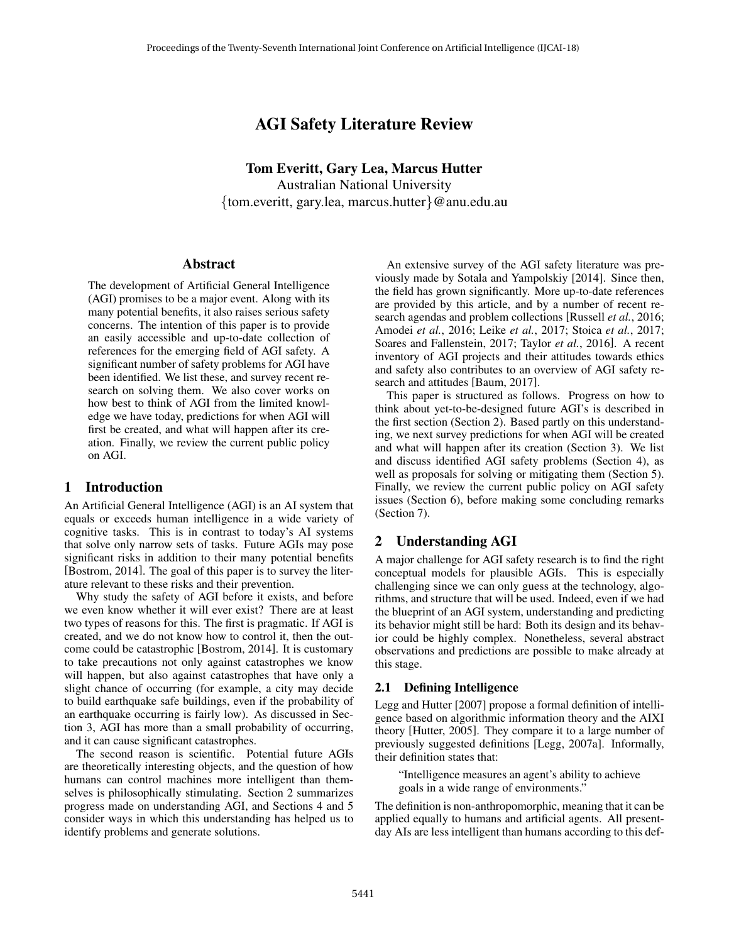# AGI Safety Literature Review

Tom Everitt, Gary Lea, Marcus Hutter Australian National University {tom.everitt, gary.lea, marcus.hutter}@anu.edu.au

#### Abstract

The development of Artificial General Intelligence (AGI) promises to be a major event. Along with its many potential benefits, it also raises serious safety concerns. The intention of this paper is to provide an easily accessible and up-to-date collection of references for the emerging field of AGI safety. A significant number of safety problems for AGI have been identified. We list these, and survey recent research on solving them. We also cover works on how best to think of AGI from the limited knowledge we have today, predictions for when AGI will first be created, and what will happen after its creation. Finally, we review the current public policy on AGI.

#### 1 Introduction

An Artificial General Intelligence (AGI) is an AI system that equals or exceeds human intelligence in a wide variety of cognitive tasks. This is in contrast to today's AI systems that solve only narrow sets of tasks. Future AGIs may pose significant risks in addition to their many potential benefits [Bostrom, 2014]. The goal of this paper is to survey the literature relevant to these risks and their prevention.

Why study the safety of AGI before it exists, and before we even know whether it will ever exist? There are at least two types of reasons for this. The first is pragmatic. If AGI is created, and we do not know how to control it, then the outcome could be catastrophic [Bostrom, 2014]. It is customary to take precautions not only against catastrophes we know will happen, but also against catastrophes that have only a slight chance of occurring (for example, a city may decide to build earthquake safe buildings, even if the probability of an earthquake occurring is fairly low). As discussed in Section 3, AGI has more than a small probability of occurring, and it can cause significant catastrophes.

The second reason is scientific. Potential future AGIs are theoretically interesting objects, and the question of how humans can control machines more intelligent than themselves is philosophically stimulating. Section 2 summarizes progress made on understanding AGI, and Sections 4 and 5 consider ways in which this understanding has helped us to identify problems and generate solutions.

An extensive survey of the AGI safety literature was previously made by Sotala and Yampolskiy [2014]. Since then, the field has grown significantly. More up-to-date references are provided by this article, and by a number of recent research agendas and problem collections [Russell *et al.*, 2016; Amodei *et al.*, 2016; Leike *et al.*, 2017; Stoica *et al.*, 2017; Soares and Fallenstein, 2017; Taylor *et al.*, 2016]. A recent inventory of AGI projects and their attitudes towards ethics and safety also contributes to an overview of AGI safety research and attitudes [Baum, 2017].

This paper is structured as follows. Progress on how to think about yet-to-be-designed future AGI's is described in the first section (Section 2). Based partly on this understanding, we next survey predictions for when AGI will be created and what will happen after its creation (Section 3). We list and discuss identified AGI safety problems (Section 4), as well as proposals for solving or mitigating them (Section 5). Finally, we review the current public policy on AGI safety issues (Section 6), before making some concluding remarks (Section 7).

### 2 Understanding AGI

A major challenge for AGI safety research is to find the right conceptual models for plausible AGIs. This is especially challenging since we can only guess at the technology, algorithms, and structure that will be used. Indeed, even if we had the blueprint of an AGI system, understanding and predicting its behavior might still be hard: Both its design and its behavior could be highly complex. Nonetheless, several abstract observations and predictions are possible to make already at this stage.

#### 2.1 Defining Intelligence

Legg and Hutter [2007] propose a formal definition of intelligence based on algorithmic information theory and the AIXI theory [Hutter, 2005]. They compare it to a large number of previously suggested definitions [Legg, 2007a]. Informally, their definition states that:

"Intelligence measures an agent's ability to achieve goals in a wide range of environments."

The definition is non-anthropomorphic, meaning that it can be applied equally to humans and artificial agents. All presentday AIs are less intelligent than humans according to this def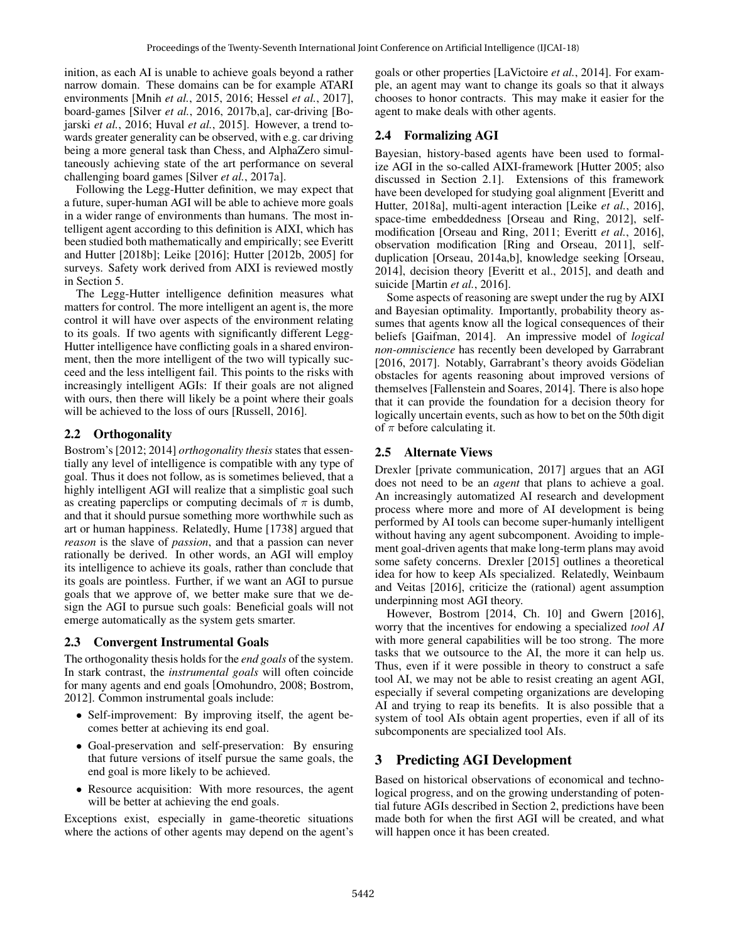inition, as each AI is unable to achieve goals beyond a rather narrow domain. These domains can be for example ATARI environments [Mnih *et al.*, 2015, 2016; Hessel *et al.*, 2017], board-games [Silver *et al.*, 2016, 2017b,a], car-driving [Bojarski *et al.*, 2016; Huval *et al.*, 2015]. However, a trend towards greater generality can be observed, with e.g. car driving being a more general task than Chess, and AlphaZero simultaneously achieving state of the art performance on several challenging board games [Silver *et al.*, 2017a].

Following the Legg-Hutter definition, we may expect that a future, super-human AGI will be able to achieve more goals in a wider range of environments than humans. The most intelligent agent according to this definition is AIXI, which has been studied both mathematically and empirically; see Everitt and Hutter [2018b]; Leike [2016]; Hutter [2012b, 2005] for surveys. Safety work derived from AIXI is reviewed mostly in Section 5.

The Legg-Hutter intelligence definition measures what matters for control. The more intelligent an agent is, the more control it will have over aspects of the environment relating to its goals. If two agents with significantly different Legg-Hutter intelligence have conflicting goals in a shared environment, then the more intelligent of the two will typically succeed and the less intelligent fail. This points to the risks with increasingly intelligent AGIs: If their goals are not aligned with ours, then there will likely be a point where their goals will be achieved to the loss of ours [Russell, 2016].

### 2.2 Orthogonality

Bostrom's [2012; 2014] *orthogonality thesis* states that essentially any level of intelligence is compatible with any type of goal. Thus it does not follow, as is sometimes believed, that a highly intelligent AGI will realize that a simplistic goal such as creating paperclips or computing decimals of  $\pi$  is dumb, and that it should pursue something more worthwhile such as art or human happiness. Relatedly, Hume [1738] argued that *reason* is the slave of *passion*, and that a passion can never rationally be derived. In other words, an AGI will employ its intelligence to achieve its goals, rather than conclude that its goals are pointless. Further, if we want an AGI to pursue goals that we approve of, we better make sure that we design the AGI to pursue such goals: Beneficial goals will not emerge automatically as the system gets smarter.

## 2.3 Convergent Instrumental Goals

The orthogonality thesis holds for the *end goals* of the system. In stark contrast, the *instrumental goals* will often coincide for many agents and end goals [Omohundro, 2008; Bostrom, 2012]. Common instrumental goals include:

- Self-improvement: By improving itself, the agent becomes better at achieving its end goal.
- Goal-preservation and self-preservation: By ensuring that future versions of itself pursue the same goals, the end goal is more likely to be achieved.
- Resource acquisition: With more resources, the agent will be better at achieving the end goals.

Exceptions exist, especially in game-theoretic situations where the actions of other agents may depend on the agent's goals or other properties [LaVictoire *et al.*, 2014]. For example, an agent may want to change its goals so that it always chooses to honor contracts. This may make it easier for the agent to make deals with other agents.

## 2.4 Formalizing AGI

Bayesian, history-based agents have been used to formalize AGI in the so-called AIXI-framework [Hutter 2005; also discussed in Section 2.1]. Extensions of this framework have been developed for studying goal alignment [Everitt and Hutter, 2018a], multi-agent interaction [Leike *et al.*, 2016], space-time embeddedness [Orseau and Ring, 2012], selfmodification [Orseau and Ring, 2011; Everitt *et al.*, 2016], observation modification [Ring and Orseau, 2011], selfduplication [Orseau, 2014a,b], knowledge seeking [Orseau, 2014], decision theory [Everitt et al., 2015], and death and suicide [Martin *et al.*, 2016].

Some aspects of reasoning are swept under the rug by AIXI and Bayesian optimality. Importantly, probability theory assumes that agents know all the logical consequences of their beliefs [Gaifman, 2014]. An impressive model of *logical non-omniscience* has recently been developed by Garrabrant [2016, 2017]. Notably, Garrabrant's theory avoids Gödelian obstacles for agents reasoning about improved versions of themselves [Fallenstein and Soares, 2014]. There is also hope that it can provide the foundation for a decision theory for logically uncertain events, such as how to bet on the 50th digit of  $\pi$  before calculating it.

## 2.5 Alternate Views

Drexler [private communication, 2017] argues that an AGI does not need to be an *agent* that plans to achieve a goal. An increasingly automatized AI research and development process where more and more of AI development is being performed by AI tools can become super-humanly intelligent without having any agent subcomponent. Avoiding to implement goal-driven agents that make long-term plans may avoid some safety concerns. Drexler [2015] outlines a theoretical idea for how to keep AIs specialized. Relatedly, Weinbaum and Veitas [2016], criticize the (rational) agent assumption underpinning most AGI theory.

However, Bostrom [2014, Ch. 10] and Gwern [2016], worry that the incentives for endowing a specialized *tool AI* with more general capabilities will be too strong. The more tasks that we outsource to the AI, the more it can help us. Thus, even if it were possible in theory to construct a safe tool AI, we may not be able to resist creating an agent AGI, especially if several competing organizations are developing AI and trying to reap its benefits. It is also possible that a system of tool AIs obtain agent properties, even if all of its subcomponents are specialized tool AIs.

# 3 Predicting AGI Development

Based on historical observations of economical and technological progress, and on the growing understanding of potential future AGIs described in Section 2, predictions have been made both for when the first AGI will be created, and what will happen once it has been created.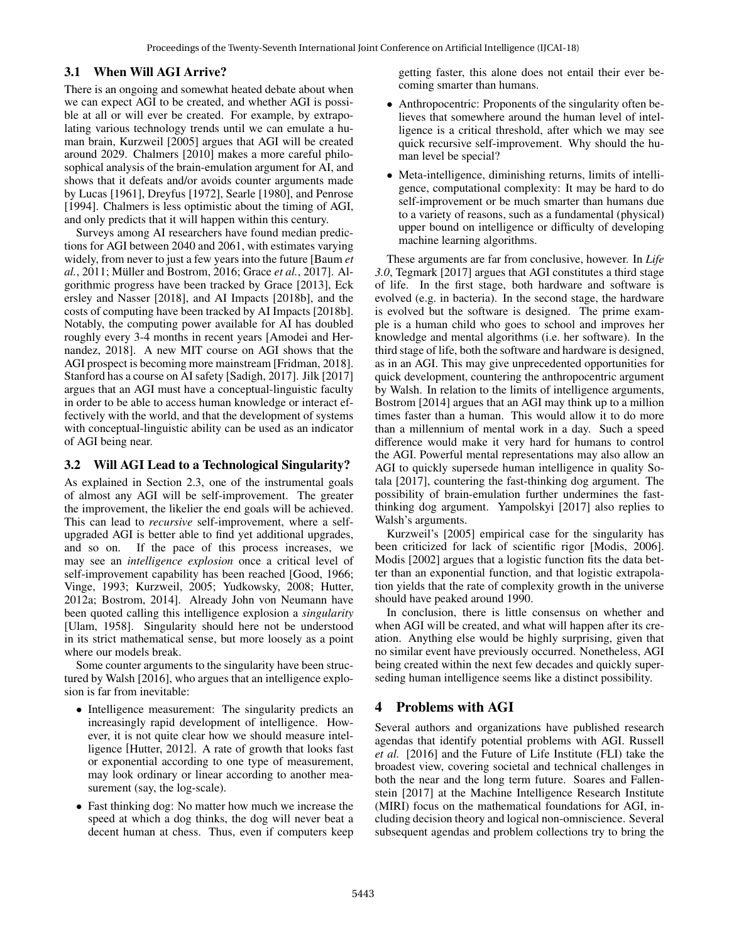### 3.1 When Will AGI Arrive?

There is an ongoing and somewhat heated debate about when we can expect AGI to be created, and whether AGI is possible at all or will ever be created. For example, by extrapolating various technology trends until we can emulate a human brain, Kurzweil [2005] argues that AGI will be created around 2029. Chalmers [2010] makes a more careful philosophical analysis of the brain-emulation argument for AI, and shows that it defeats and/or avoids counter arguments made by Lucas [1961], Dreyfus [1972], Searle [1980], and Penrose [1994]. Chalmers is less optimistic about the timing of AGI, and only predicts that it will happen within this century.

Surveys among AI researchers have found median predictions for AGI between 2040 and 2061, with estimates varying widely, from never to just a few years into the future [Baum *et al.*, 2011; Müller and Bostrom, 2016; Grace *et al.*, 2017]. Algorithmic progress have been tracked by Grace [2013], Eck ersley and Nasser [2018], and AI Impacts [2018b], and the costs of computing have been tracked by AI Impacts [2018b]. Notably, the computing power available for AI has doubled roughly every 3-4 months in recent years [Amodei and Hernandez, 2018]. A new MIT course on AGI shows that the AGI prospect is becoming more mainstream [Fridman, 2018]. Stanford has a course on AI safety [Sadigh, 2017]. Jilk [2017] argues that an AGI must have a conceptual-linguistic faculty in order to be able to access human knowledge or interact effectively with the world, and that the development of systems with conceptual-linguistic ability can be used as an indicator of AGI being near.

### 3.2 Will AGI Lead to a Technological Singularity?

As explained in Section 2.3, one of the instrumental goals of almost any AGI will be self-improvement. The greater the improvement, the likelier the end goals will be achieved. This can lead to *recursive* self-improvement, where a selfupgraded AGI is better able to find yet additional upgrades, and so on. If the pace of this process increases, we may see an *intelligence explosion* once a critical level of self-improvement capability has been reached [Good, 1966; Vinge, 1993; Kurzweil, 2005; Yudkowsky, 2008; Hutter, 2012a; Bostrom, 2014]. Already John von Neumann have been quoted calling this intelligence explosion a *singularity* [Ulam, 1958]. Singularity should here not be understood in its strict mathematical sense, but more loosely as a point where our models break.

Some counter arguments to the singularity have been structured by Walsh [2016], who argues that an intelligence explosion is far from inevitable:

- Intelligence measurement: The singularity predicts an increasingly rapid development of intelligence. However, it is not quite clear how we should measure intelligence [Hutter, 2012]. A rate of growth that looks fast or exponential according to one type of measurement, may look ordinary or linear according to another measurement (say, the log-scale).
- Fast thinking dog: No matter how much we increase the speed at which a dog thinks, the dog will never beat a decent human at chess. Thus, even if computers keep

getting faster, this alone does not entail their ever becoming smarter than humans.

- Anthropocentric: Proponents of the singularity often believes that somewhere around the human level of intelligence is a critical threshold, after which we may see quick recursive self-improvement. Why should the human level be special?
- Meta-intelligence, diminishing returns, limits of intelligence, computational complexity: It may be hard to do self-improvement or be much smarter than humans due to a variety of reasons, such as a fundamental (physical) upper bound on intelligence or difficulty of developing machine learning algorithms.

These arguments are far from conclusive, however. In *Life 3.0*, Tegmark [2017] argues that AGI constitutes a third stage of life. In the first stage, both hardware and software is evolved (e.g. in bacteria). In the second stage, the hardware is evolved but the software is designed. The prime example is a human child who goes to school and improves her knowledge and mental algorithms (i.e. her software). In the third stage of life, both the software and hardware is designed, as in an AGI. This may give unprecedented opportunities for quick development, countering the anthropocentric argument by Walsh. In relation to the limits of intelligence arguments, Bostrom [2014] argues that an AGI may think up to a million times faster than a human. This would allow it to do more than a millennium of mental work in a day. Such a speed difference would make it very hard for humans to control the AGI. Powerful mental representations may also allow an AGI to quickly supersede human intelligence in quality Sotala [2017], countering the fast-thinking dog argument. The possibility of brain-emulation further undermines the fastthinking dog argument. Yampolskyi [2017] also replies to Walsh's arguments.

Kurzweil's [2005] empirical case for the singularity has been criticized for lack of scientific rigor [Modis, 2006]. Modis [2002] argues that a logistic function fits the data better than an exponential function, and that logistic extrapolation yields that the rate of complexity growth in the universe should have peaked around 1990.

In conclusion, there is little consensus on whether and when AGI will be created, and what will happen after its creation. Anything else would be highly surprising, given that no similar event have previously occurred. Nonetheless, AGI being created within the next few decades and quickly superseding human intelligence seems like a distinct possibility.

# 4 Problems with AGI

Several authors and organizations have published research agendas that identify potential problems with AGI. Russell *et al.* [2016] and the Future of Life Institute (FLI) take the broadest view, covering societal and technical challenges in both the near and the long term future. Soares and Fallenstein [2017] at the Machine Intelligence Research Institute (MIRI) focus on the mathematical foundations for AGI, including decision theory and logical non-omniscience. Several subsequent agendas and problem collections try to bring the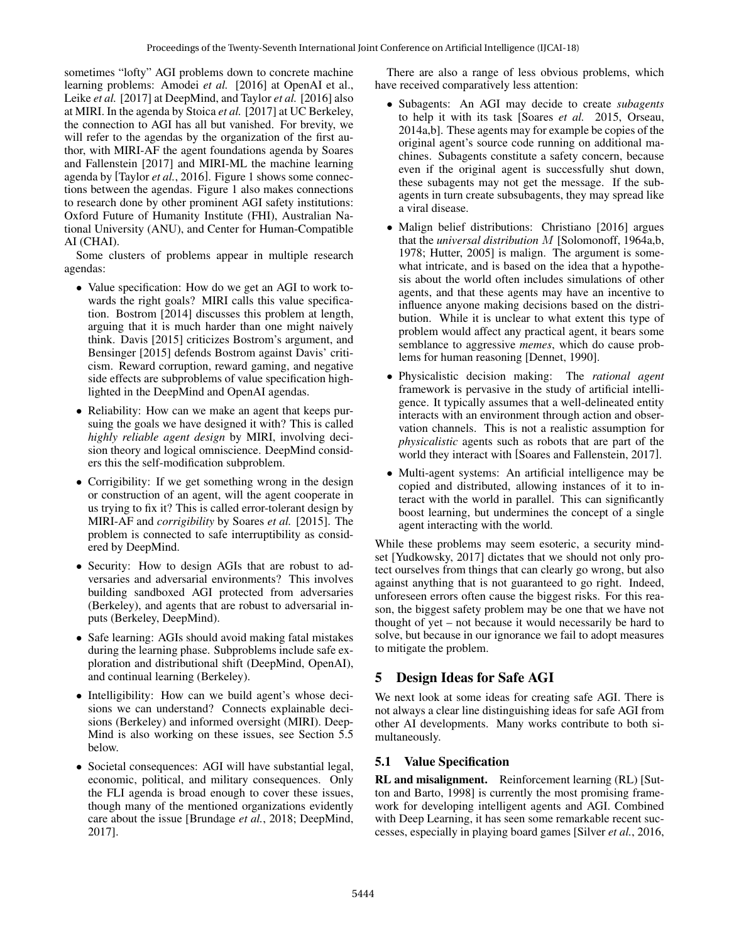sometimes "lofty" AGI problems down to concrete machine learning problems: Amodei *et al.* [2016] at OpenAI et al., Leike *et al.* [2017] at DeepMind, and Taylor *et al.* [2016] also at MIRI. In the agenda by Stoica *et al.* [2017] at UC Berkeley, the connection to AGI has all but vanished. For brevity, we will refer to the agendas by the organization of the first author, with MIRI-AF the agent foundations agenda by Soares and Fallenstein [2017] and MIRI-ML the machine learning agenda by [Taylor *et al.*, 2016]. Figure 1 shows some connections between the agendas. Figure 1 also makes connections to research done by other prominent AGI safety institutions: Oxford Future of Humanity Institute (FHI), Australian National University (ANU), and Center for Human-Compatible AI (CHAI).

Some clusters of problems appear in multiple research agendas:

- Value specification: How do we get an AGI to work towards the right goals? MIRI calls this value specification. Bostrom [2014] discusses this problem at length, arguing that it is much harder than one might naively think. Davis [2015] criticizes Bostrom's argument, and Bensinger [2015] defends Bostrom against Davis' criticism. Reward corruption, reward gaming, and negative side effects are subproblems of value specification highlighted in the DeepMind and OpenAI agendas.
- Reliability: How can we make an agent that keeps pursuing the goals we have designed it with? This is called *highly reliable agent design* by MIRI, involving decision theory and logical omniscience. DeepMind considers this the self-modification subproblem.
- Corrigibility: If we get something wrong in the design or construction of an agent, will the agent cooperate in us trying to fix it? This is called error-tolerant design by MIRI-AF and *corrigibility* by Soares *et al.* [2015]. The problem is connected to safe interruptibility as considered by DeepMind.
- Security: How to design AGIs that are robust to adversaries and adversarial environments? This involves building sandboxed AGI protected from adversaries (Berkeley), and agents that are robust to adversarial inputs (Berkeley, DeepMind).
- Safe learning: AGIs should avoid making fatal mistakes during the learning phase. Subproblems include safe exploration and distributional shift (DeepMind, OpenAI), and continual learning (Berkeley).
- Intelligibility: How can we build agent's whose decisions we can understand? Connects explainable decisions (Berkeley) and informed oversight (MIRI). Deep-Mind is also working on these issues, see Section 5.5 below.
- Societal consequences: AGI will have substantial legal, economic, political, and military consequences. Only the FLI agenda is broad enough to cover these issues, though many of the mentioned organizations evidently care about the issue [Brundage *et al.*, 2018; DeepMind, 2017].

There are also a range of less obvious problems, which have received comparatively less attention:

- Subagents: An AGI may decide to create *subagents* to help it with its task [Soares *et al.* 2015, Orseau, 2014a,b]. These agents may for example be copies of the original agent's source code running on additional machines. Subagents constitute a safety concern, because even if the original agent is successfully shut down, these subagents may not get the message. If the subagents in turn create subsubagents, they may spread like a viral disease.
- Malign belief distributions: Christiano [2016] argues that the *universal distribution* M [Solomonoff, 1964a,b, 1978; Hutter, 2005] is malign. The argument is somewhat intricate, and is based on the idea that a hypothesis about the world often includes simulations of other agents, and that these agents may have an incentive to influence anyone making decisions based on the distribution. While it is unclear to what extent this type of problem would affect any practical agent, it bears some semblance to aggressive *memes*, which do cause problems for human reasoning [Dennet, 1990].
- Physicalistic decision making: The *rational agent* framework is pervasive in the study of artificial intelligence. It typically assumes that a well-delineated entity interacts with an environment through action and observation channels. This is not a realistic assumption for *physicalistic* agents such as robots that are part of the world they interact with [Soares and Fallenstein, 2017].
- Multi-agent systems: An artificial intelligence may be copied and distributed, allowing instances of it to interact with the world in parallel. This can significantly boost learning, but undermines the concept of a single agent interacting with the world.

While these problems may seem esoteric, a security mindset [Yudkowsky, 2017] dictates that we should not only protect ourselves from things that can clearly go wrong, but also against anything that is not guaranteed to go right. Indeed, unforeseen errors often cause the biggest risks. For this reason, the biggest safety problem may be one that we have not thought of yet – not because it would necessarily be hard to solve, but because in our ignorance we fail to adopt measures to mitigate the problem.

# 5 Design Ideas for Safe AGI

We next look at some ideas for creating safe AGI. There is not always a clear line distinguishing ideas for safe AGI from other AI developments. Many works contribute to both simultaneously.

## 5.1 Value Specification

RL and misalignment. Reinforcement learning (RL) [Sutton and Barto, 1998] is currently the most promising framework for developing intelligent agents and AGI. Combined with Deep Learning, it has seen some remarkable recent successes, especially in playing board games [Silver *et al.*, 2016,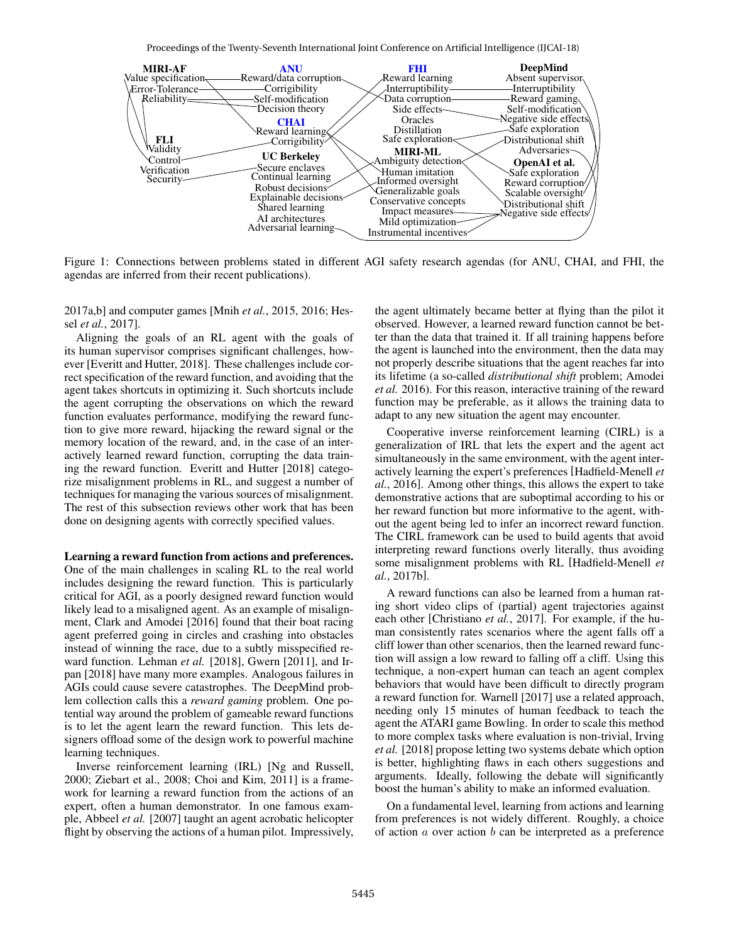Proceedings of the Twenty-Seventh International Joint Conference on Artificial Intelligence (IJCAI-18)



Figure 1: Connections between problems stated in different AGI safety research agendas (for ANU, CHAI, and FHI, the agendas are inferred from their recent publications).

2017a,b] and computer games [Mnih *et al.*, 2015, 2016; Hessel *et al.*, 2017].

Aligning the goals of an RL agent with the goals of its human supervisor comprises significant challenges, however [Everitt and Hutter, 2018]. These challenges include correct specification of the reward function, and avoiding that the agent takes shortcuts in optimizing it. Such shortcuts include the agent corrupting the observations on which the reward function evaluates performance, modifying the reward function to give more reward, hijacking the reward signal or the memory location of the reward, and, in the case of an interactively learned reward function, corrupting the data training the reward function. Everitt and Hutter [2018] categorize misalignment problems in RL, and suggest a number of techniques for managing the various sources of misalignment. The rest of this subsection reviews other work that has been done on designing agents with correctly specified values.

Learning a reward function from actions and preferences. One of the main challenges in scaling RL to the real world includes designing the reward function. This is particularly critical for AGI, as a poorly designed reward function would likely lead to a misaligned agent. As an example of misalignment, Clark and Amodei [2016] found that their boat racing agent preferred going in circles and crashing into obstacles instead of winning the race, due to a subtly misspecified reward function. Lehman *et al.* [2018], Gwern [2011], and Irpan [2018] have many more examples. Analogous failures in AGIs could cause severe catastrophes. The DeepMind problem collection calls this a *reward gaming* problem. One potential way around the problem of gameable reward functions is to let the agent learn the reward function. This lets designers offload some of the design work to powerful machine learning techniques.

Inverse reinforcement learning (IRL) [Ng and Russell, 2000; Ziebart et al., 2008; Choi and Kim, 2011] is a framework for learning a reward function from the actions of an expert, often a human demonstrator. In one famous example, Abbeel *et al.* [2007] taught an agent acrobatic helicopter flight by observing the actions of a human pilot. Impressively, the agent ultimately became better at flying than the pilot it observed. However, a learned reward function cannot be better than the data that trained it. If all training happens before the agent is launched into the environment, then the data may not properly describe situations that the agent reaches far into its lifetime (a so-called *distributional shift* problem; Amodei *et al.* 2016). For this reason, interactive training of the reward function may be preferable, as it allows the training data to adapt to any new situation the agent may encounter.

Cooperative inverse reinforcement learning (CIRL) is a generalization of IRL that lets the expert and the agent act simultaneously in the same environment, with the agent interactively learning the expert's preferences [Hadfield-Menell *et al.*, 2016]. Among other things, this allows the expert to take demonstrative actions that are suboptimal according to his or her reward function but more informative to the agent, without the agent being led to infer an incorrect reward function. The CIRL framework can be used to build agents that avoid interpreting reward functions overly literally, thus avoiding some misalignment problems with RL [Hadfield-Menell *et al.*, 2017b].

A reward functions can also be learned from a human rating short video clips of (partial) agent trajectories against each other [Christiano *et al.*, 2017]. For example, if the human consistently rates scenarios where the agent falls off a cliff lower than other scenarios, then the learned reward function will assign a low reward to falling off a cliff. Using this technique, a non-expert human can teach an agent complex behaviors that would have been difficult to directly program a reward function for. Warnell [2017] use a related approach, needing only 15 minutes of human feedback to teach the agent the ATARI game Bowling. In order to scale this method to more complex tasks where evaluation is non-trivial, Irving *et al.* [2018] propose letting two systems debate which option is better, highlighting flaws in each others suggestions and arguments. Ideally, following the debate will significantly boost the human's ability to make an informed evaluation.

On a fundamental level, learning from actions and learning from preferences is not widely different. Roughly, a choice of action  $a$  over action  $b$  can be interpreted as a preference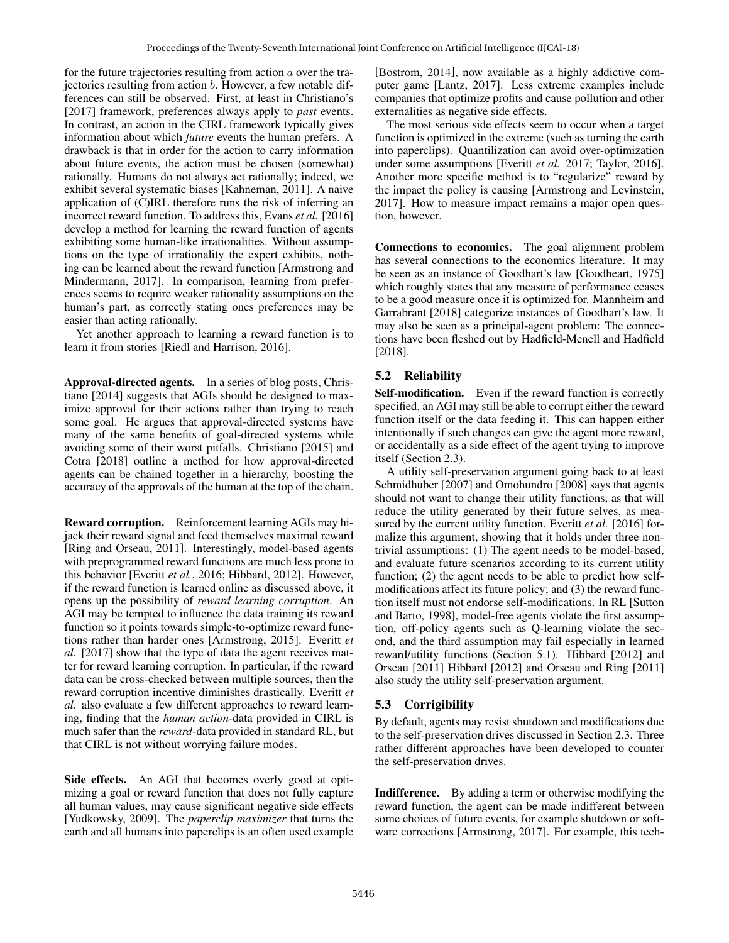for the future trajectories resulting from action  $\alpha$  over the trajectories resulting from action b. However, a few notable differences can still be observed. First, at least in Christiano's [2017] framework, preferences always apply to *past* events. In contrast, an action in the CIRL framework typically gives information about which *future* events the human prefers. A drawback is that in order for the action to carry information about future events, the action must be chosen (somewhat) rationally. Humans do not always act rationally; indeed, we exhibit several systematic biases [Kahneman, 2011]. A naive application of (C)IRL therefore runs the risk of inferring an incorrect reward function. To address this, Evans *et al.* [2016] develop a method for learning the reward function of agents exhibiting some human-like irrationalities. Without assumptions on the type of irrationality the expert exhibits, nothing can be learned about the reward function [Armstrong and Mindermann, 2017]. In comparison, learning from preferences seems to require weaker rationality assumptions on the human's part, as correctly stating ones preferences may be easier than acting rationally.

Yet another approach to learning a reward function is to learn it from stories [Riedl and Harrison, 2016].

Approval-directed agents. In a series of blog posts, Christiano [2014] suggests that AGIs should be designed to maximize approval for their actions rather than trying to reach some goal. He argues that approval-directed systems have many of the same benefits of goal-directed systems while avoiding some of their worst pitfalls. Christiano [2015] and Cotra [2018] outline a method for how approval-directed agents can be chained together in a hierarchy, boosting the accuracy of the approvals of the human at the top of the chain.

Reward corruption. Reinforcement learning AGIs may hijack their reward signal and feed themselves maximal reward [Ring and Orseau, 2011]. Interestingly, model-based agents with preprogrammed reward functions are much less prone to this behavior [Everitt *et al.*, 2016; Hibbard, 2012]. However, if the reward function is learned online as discussed above, it opens up the possibility of *reward learning corruption*. An AGI may be tempted to influence the data training its reward function so it points towards simple-to-optimize reward functions rather than harder ones [Armstrong, 2015]. Everitt *et al.* [2017] show that the type of data the agent receives matter for reward learning corruption. In particular, if the reward data can be cross-checked between multiple sources, then the reward corruption incentive diminishes drastically. Everitt *et al.* also evaluate a few different approaches to reward learning, finding that the *human action*-data provided in CIRL is much safer than the *reward*-data provided in standard RL, but that CIRL is not without worrying failure modes.

Side effects. An AGI that becomes overly good at optimizing a goal or reward function that does not fully capture all human values, may cause significant negative side effects [Yudkowsky, 2009]. The *paperclip maximizer* that turns the earth and all humans into paperclips is an often used example [Bostrom, 2014], now available as a highly addictive computer game [Lantz, 2017]. Less extreme examples include companies that optimize profits and cause pollution and other externalities as negative side effects.

The most serious side effects seem to occur when a target function is optimized in the extreme (such as turning the earth into paperclips). Quantilization can avoid over-optimization under some assumptions [Everitt *et al.* 2017; Taylor, 2016]. Another more specific method is to "regularize" reward by the impact the policy is causing [Armstrong and Levinstein, 2017]. How to measure impact remains a major open question, however.

Connections to economics. The goal alignment problem has several connections to the economics literature. It may be seen as an instance of Goodhart's law [Goodheart, 1975] which roughly states that any measure of performance ceases to be a good measure once it is optimized for. Mannheim and Garrabrant [2018] categorize instances of Goodhart's law. It may also be seen as a principal-agent problem: The connections have been fleshed out by Hadfield-Menell and Hadfield [2018].

## 5.2 Reliability

Self-modification. Even if the reward function is correctly specified, an AGI may still be able to corrupt either the reward function itself or the data feeding it. This can happen either intentionally if such changes can give the agent more reward, or accidentally as a side effect of the agent trying to improve itself (Section 2.3).

A utility self-preservation argument going back to at least Schmidhuber [2007] and Omohundro [2008] says that agents should not want to change their utility functions, as that will reduce the utility generated by their future selves, as measured by the current utility function. Everitt *et al.* [2016] formalize this argument, showing that it holds under three nontrivial assumptions: (1) The agent needs to be model-based, and evaluate future scenarios according to its current utility function; (2) the agent needs to be able to predict how selfmodifications affect its future policy; and (3) the reward function itself must not endorse self-modifications. In RL [Sutton and Barto, 1998], model-free agents violate the first assumption, off-policy agents such as Q-learning violate the second, and the third assumption may fail especially in learned reward/utility functions (Section 5.1). Hibbard [2012] and Orseau [2011] Hibbard [2012] and Orseau and Ring [2011] also study the utility self-preservation argument.

# 5.3 Corrigibility

By default, agents may resist shutdown and modifications due to the self-preservation drives discussed in Section 2.3. Three rather different approaches have been developed to counter the self-preservation drives.

Indifference. By adding a term or otherwise modifying the reward function, the agent can be made indifferent between some choices of future events, for example shutdown or software corrections [Armstrong, 2017]. For example, this tech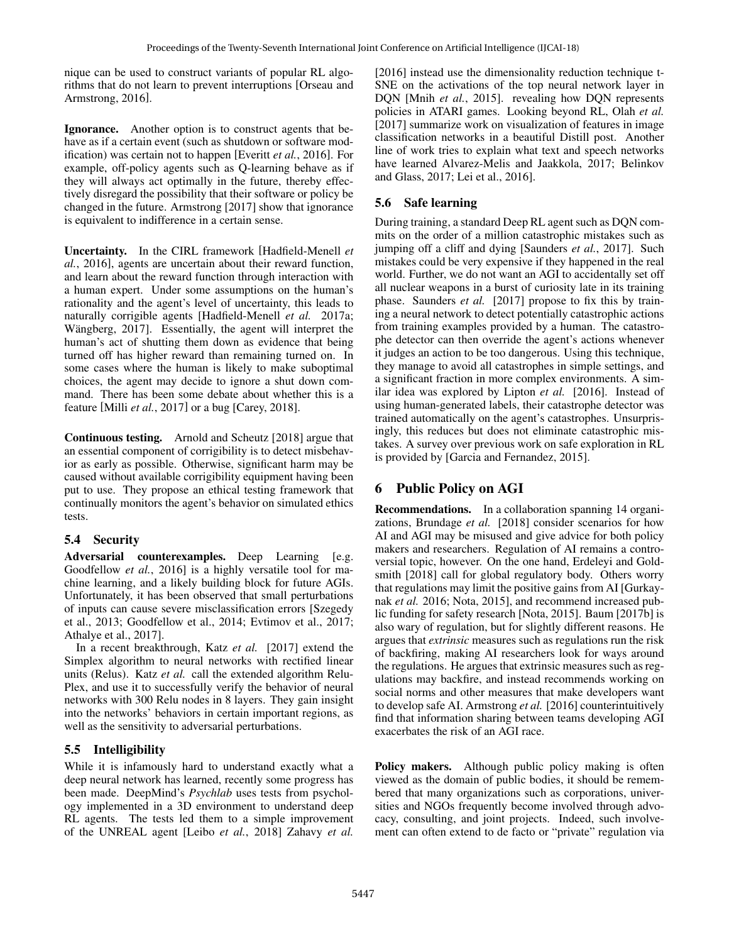nique can be used to construct variants of popular RL algorithms that do not learn to prevent interruptions [Orseau and Armstrong, 2016].

Ignorance. Another option is to construct agents that behave as if a certain event (such as shutdown or software modification) was certain not to happen [Everitt *et al.*, 2016]. For example, off-policy agents such as Q-learning behave as if they will always act optimally in the future, thereby effectively disregard the possibility that their software or policy be changed in the future. Armstrong [2017] show that ignorance is equivalent to indifference in a certain sense.

Uncertainty. In the CIRL framework [Hadfield-Menell *et al.*, 2016], agents are uncertain about their reward function, and learn about the reward function through interaction with a human expert. Under some assumptions on the human's rationality and the agent's level of uncertainty, this leads to naturally corrigible agents [Hadfield-Menell *et al.* 2017a; Wängberg, 2017]. Essentially, the agent will interpret the human's act of shutting them down as evidence that being turned off has higher reward than remaining turned on. In some cases where the human is likely to make suboptimal choices, the agent may decide to ignore a shut down command. There has been some debate about whether this is a feature [Milli *et al.*, 2017] or a bug [Carey, 2018].

Continuous testing. Arnold and Scheutz [2018] argue that an essential component of corrigibility is to detect misbehavior as early as possible. Otherwise, significant harm may be caused without available corrigibility equipment having been put to use. They propose an ethical testing framework that continually monitors the agent's behavior on simulated ethics tests.

## 5.4 Security

Adversarial counterexamples. Deep Learning [e.g. Goodfellow *et al.*, 2016] is a highly versatile tool for machine learning, and a likely building block for future AGIs. Unfortunately, it has been observed that small perturbations of inputs can cause severe misclassification errors [Szegedy et al., 2013; Goodfellow et al., 2014; Evtimov et al., 2017; Athalye et al., 2017].

In a recent breakthrough, Katz *et al.* [2017] extend the Simplex algorithm to neural networks with rectified linear units (Relus). Katz *et al.* call the extended algorithm Relu-Plex, and use it to successfully verify the behavior of neural networks with 300 Relu nodes in 8 layers. They gain insight into the networks' behaviors in certain important regions, as well as the sensitivity to adversarial perturbations.

### 5.5 Intelligibility

While it is infamously hard to understand exactly what a deep neural network has learned, recently some progress has been made. DeepMind's *Psychlab* uses tests from psychology implemented in a 3D environment to understand deep RL agents. The tests led them to a simple improvement of the UNREAL agent [Leibo *et al.*, 2018] Zahavy *et al.* [2016] instead use the dimensionality reduction technique t-SNE on the activations of the top neural network layer in DQN [Mnih *et al.*, 2015]. revealing how DQN represents policies in ATARI games. Looking beyond RL, Olah *et al.* [2017] summarize work on visualization of features in image classification networks in a beautiful Distill post. Another line of work tries to explain what text and speech networks have learned Alvarez-Melis and Jaakkola, 2017; Belinkov and Glass, 2017; Lei et al., 2016].

### 5.6 Safe learning

During training, a standard Deep RL agent such as DQN commits on the order of a million catastrophic mistakes such as jumping off a cliff and dying [Saunders *et al.*, 2017]. Such mistakes could be very expensive if they happened in the real world. Further, we do not want an AGI to accidentally set off all nuclear weapons in a burst of curiosity late in its training phase. Saunders *et al.* [2017] propose to fix this by training a neural network to detect potentially catastrophic actions from training examples provided by a human. The catastrophe detector can then override the agent's actions whenever it judges an action to be too dangerous. Using this technique, they manage to avoid all catastrophes in simple settings, and a significant fraction in more complex environments. A similar idea was explored by Lipton *et al.* [2016]. Instead of using human-generated labels, their catastrophe detector was trained automatically on the agent's catastrophes. Unsurprisingly, this reduces but does not eliminate catastrophic mistakes. A survey over previous work on safe exploration in RL is provided by [Garcia and Fernandez, 2015].

# 6 Public Policy on AGI

Recommendations. In a collaboration spanning 14 organizations, Brundage *et al.* [2018] consider scenarios for how AI and AGI may be misused and give advice for both policy makers and researchers. Regulation of AI remains a controversial topic, however. On the one hand, Erdeleyi and Goldsmith [2018] call for global regulatory body. Others worry that regulations may limit the positive gains from AI [Gurkaynak *et al.* 2016; Nota, 2015], and recommend increased public funding for safety research [Nota, 2015]. Baum [2017b] is also wary of regulation, but for slightly different reasons. He argues that *extrinsic* measures such as regulations run the risk of backfiring, making AI researchers look for ways around the regulations. He argues that extrinsic measures such as regulations may backfire, and instead recommends working on social norms and other measures that make developers want to develop safe AI. Armstrong *et al.* [2016] counterintuitively find that information sharing between teams developing AGI exacerbates the risk of an AGI race.

Policy makers. Although public policy making is often viewed as the domain of public bodies, it should be remembered that many organizations such as corporations, universities and NGOs frequently become involved through advocacy, consulting, and joint projects. Indeed, such involvement can often extend to de facto or "private" regulation via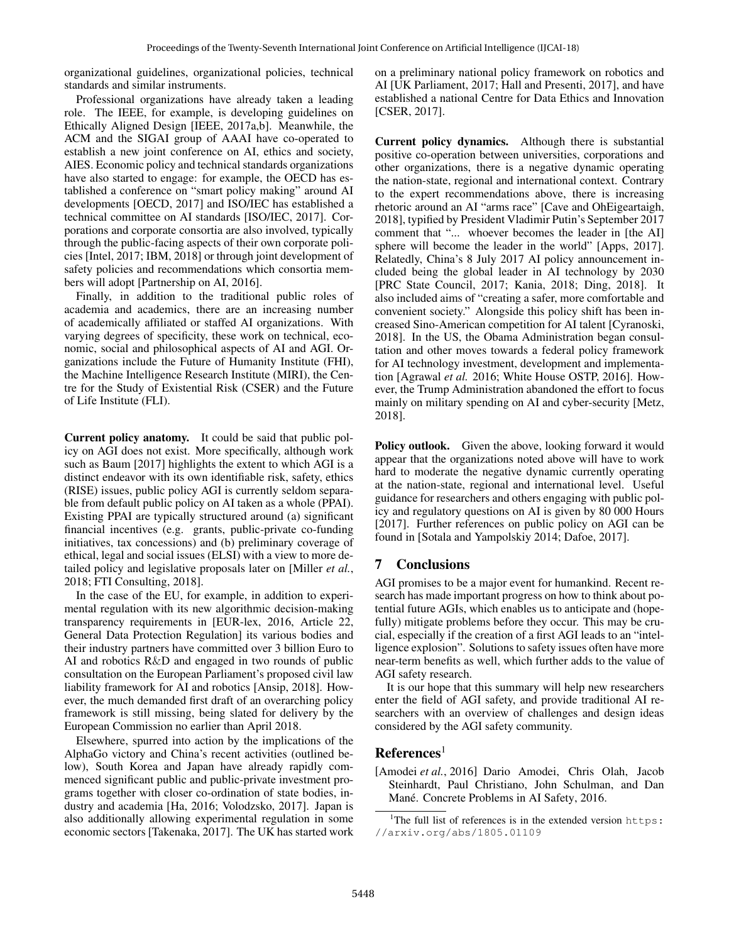organizational guidelines, organizational policies, technical standards and similar instruments.

Professional organizations have already taken a leading role. The IEEE, for example, is developing guidelines on Ethically Aligned Design [IEEE, 2017a,b]. Meanwhile, the ACM and the SIGAI group of AAAI have co-operated to establish a new joint conference on AI, ethics and society, AIES. Economic policy and technical standards organizations have also started to engage: for example, the OECD has established a conference on "smart policy making" around AI developments [OECD, 2017] and ISO/IEC has established a technical committee on AI standards [ISO/IEC, 2017]. Corporations and corporate consortia are also involved, typically through the public-facing aspects of their own corporate policies [Intel, 2017; IBM, 2018] or through joint development of safety policies and recommendations which consortia members will adopt [Partnership on AI, 2016].

Finally, in addition to the traditional public roles of academia and academics, there are an increasing number of academically affiliated or staffed AI organizations. With varying degrees of specificity, these work on technical, economic, social and philosophical aspects of AI and AGI. Organizations include the Future of Humanity Institute (FHI), the Machine Intelligence Research Institute (MIRI), the Centre for the Study of Existential Risk (CSER) and the Future of Life Institute (FLI).

Current policy anatomy. It could be said that public policy on AGI does not exist. More specifically, although work such as Baum [2017] highlights the extent to which AGI is a distinct endeavor with its own identifiable risk, safety, ethics (RISE) issues, public policy AGI is currently seldom separable from default public policy on AI taken as a whole (PPAI). Existing PPAI are typically structured around (a) significant financial incentives (e.g. grants, public-private co-funding initiatives, tax concessions) and (b) preliminary coverage of ethical, legal and social issues (ELSI) with a view to more detailed policy and legislative proposals later on [Miller *et al.*, 2018; FTI Consulting, 2018].

In the case of the EU, for example, in addition to experimental regulation with its new algorithmic decision-making transparency requirements in [EUR-lex, 2016, Article 22, General Data Protection Regulation] its various bodies and their industry partners have committed over 3 billion Euro to AI and robotics R&D and engaged in two rounds of public consultation on the European Parliament's proposed civil law liability framework for AI and robotics [Ansip, 2018]. However, the much demanded first draft of an overarching policy framework is still missing, being slated for delivery by the European Commission no earlier than April 2018.

Elsewhere, spurred into action by the implications of the AlphaGo victory and China's recent activities (outlined below), South Korea and Japan have already rapidly commenced significant public and public-private investment programs together with closer co-ordination of state bodies, industry and academia [Ha, 2016; Volodzsko, 2017]. Japan is also additionally allowing experimental regulation in some economic sectors [Takenaka, 2017]. The UK has started work on a preliminary national policy framework on robotics and AI [UK Parliament, 2017; Hall and Presenti, 2017], and have established a national Centre for Data Ethics and Innovation [CSER, 2017].

Current policy dynamics. Although there is substantial positive co-operation between universities, corporations and other organizations, there is a negative dynamic operating the nation-state, regional and international context. Contrary to the expert recommendations above, there is increasing rhetoric around an AI "arms race" [Cave and OhEigeartaigh, 2018], typified by President Vladimir Putin's September 2017 comment that "... whoever becomes the leader in [the AI] sphere will become the leader in the world" [Apps, 2017]. Relatedly, China's 8 July 2017 AI policy announcement included being the global leader in AI technology by 2030 [PRC State Council, 2017; Kania, 2018; Ding, 2018]. It also included aims of "creating a safer, more comfortable and convenient society." Alongside this policy shift has been increased Sino-American competition for AI talent [Cyranoski, 2018]. In the US, the Obama Administration began consultation and other moves towards a federal policy framework for AI technology investment, development and implementation [Agrawal *et al.* 2016; White House OSTP, 2016]. However, the Trump Administration abandoned the effort to focus mainly on military spending on AI and cyber-security [Metz, 2018].

Policy outlook. Given the above, looking forward it would appear that the organizations noted above will have to work hard to moderate the negative dynamic currently operating at the nation-state, regional and international level. Useful guidance for researchers and others engaging with public policy and regulatory questions on AI is given by 80 000 Hours [2017]. Further references on public policy on AGI can be found in [Sotala and Yampolskiy 2014; Dafoe, 2017].

### 7 Conclusions

AGI promises to be a major event for humankind. Recent research has made important progress on how to think about potential future AGIs, which enables us to anticipate and (hopefully) mitigate problems before they occur. This may be crucial, especially if the creation of a first AGI leads to an "intelligence explosion". Solutions to safety issues often have more near-term benefits as well, which further adds to the value of AGI safety research.

It is our hope that this summary will help new researchers enter the field of AGI safety, and provide traditional AI researchers with an overview of challenges and design ideas considered by the AGI safety community.

### $References<sup>1</sup>$

[Amodei *et al.*, 2016] Dario Amodei, Chris Olah, Jacob Steinhardt, Paul Christiano, John Schulman, and Dan Mané. Concrete Problems in AI Safety, 2016.

<sup>&</sup>lt;sup>1</sup>The full list of references is in the extended version  $https:$ //arxiv.org/abs/1805.01109